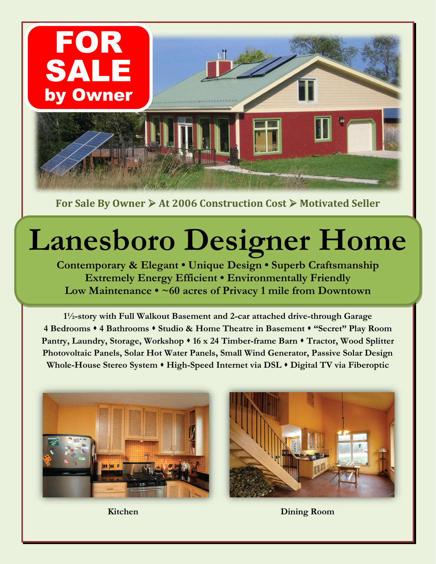

For Sale By Owner  $\triangleright$  At 2006 Construction Cost  $\triangleright$  Motivated Seller

## **Lanesboro Designer Home**

**Contemporary & Elegant • Unique Design • Superb Craftsmanship Extremely Energy Efficient • Environmentally Friendly Low Maintenance • ~60 acres of Privacy 1 mile from Downtown**

**1½-story with Full Walkout Basement and 2-car attached drive-through Garage 4 Bedrooms 4 Bathrooms Studio & Home Theatre in Basement "Secret" Play Room Pantry, Laundry, Storage, Workshop 16 x 24 Timber-frame Barn Tractor, Wood Splitter Photovoltaic Panels, Solar Hot Water Panels, Small Wind Generator, Passive Solar Design Whole-House Stereo System High-Speed Internet via DSL Digital TV via Fiberoptic**





**Kitchen Dining Room**